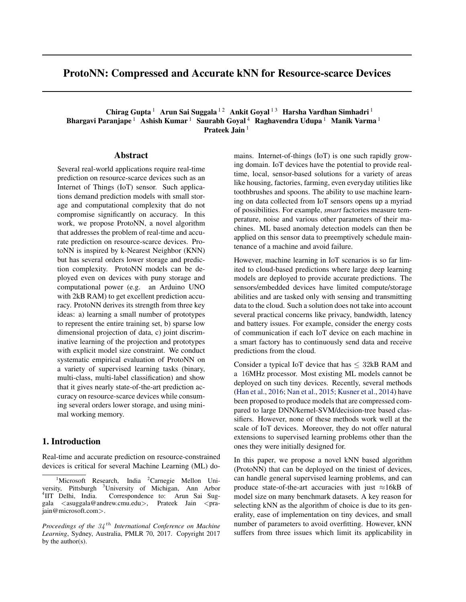# ProtoNN: Compressed and Accurate kNN for Resource-scarce Devices

Chirag Gupta<sup>1</sup> Arun Sai Suggala<sup>12</sup> Ankit Goyal<sup>13</sup> Harsha Vardhan Simhadri<sup>1</sup> Bhargavi Paranjape<sup>1</sup> Ashish Kumar<sup>1</sup> Saurabh Goyal<sup>4</sup> Raghavendra Udupa<sup>1</sup> Manik Varma<sup>1</sup> Prateek Jain<sup>1</sup>

### Abstract

Several real-world applications require real-time prediction on resource-scarce devices such as an Internet of Things (IoT) sensor. Such applications demand prediction models with small storage and computational complexity that do not compromise significantly on accuracy. In this work, we propose ProtoNN, a novel algorithm that addresses the problem of real-time and accurate prediction on resource-scarce devices. ProtoNN is inspired by k-Nearest Neighbor (KNN) but has several orders lower storage and prediction complexity. ProtoNN models can be deployed even on devices with puny storage and computational power (e.g. an Arduino UNO with 2kB RAM) to get excellent prediction accuracy. ProtoNN derives its strength from three key ideas: a) learning a small number of prototypes to represent the entire training set, b) sparse low dimensional projection of data, c) joint discriminative learning of the projection and prototypes with explicit model size constraint. We conduct systematic empirical evaluation of ProtoNN on a variety of supervised learning tasks (binary, multi-class, multi-label classification) and show that it gives nearly state-of-the-art prediction accuracy on resource-scarce devices while consuming several orders lower storage, and using minimal working memory.

### 1. Introduction

Real-time and accurate prediction on resource-constrained devices is critical for several Machine Learning (ML) domains. Internet-of-things (IoT) is one such rapidly growing domain. IoT devices have the potential to provide realtime, local, sensor-based solutions for a variety of areas like housing, factories, farming, even everyday utilities like toothbrushes and spoons. The ability to use machine learning on data collected from IoT sensors opens up a myriad of possibilities. For example, *smart* factories measure temperature, noise and various other parameters of their machines. ML based anomaly detection models can then be applied on this sensor data to preemptively schedule maintenance of a machine and avoid failure.

However, machine learning in IoT scenarios is so far limited to cloud-based predictions where large deep learning models are deployed to provide accurate predictions. The sensors/embedded devices have limited compute/storage abilities and are tasked only with sensing and transmitting data to the cloud. Such a solution does not take into account several practical concerns like privacy, bandwidth, latency and battery issues. For example, consider the energy costs of communication if each IoT device on each machine in a smart factory has to continuously send data and receive predictions from the cloud.

Consider a typical IoT device that has  $\leq$  32kB RAM and a 16MHz processor. Most existing ML models cannot be deployed on such tiny devices. Recently, several methods [\(Han et al.,](#page-8-0) [2016;](#page-8-0) [Nan et al.,](#page-8-0) [2015;](#page-8-0) [Kusner et al.,](#page-8-0) [2014\)](#page-8-0) have been proposed to produce models that are compressed compared to large DNN/kernel-SVM/decision-tree based classifiers. However, none of these methods work well at the scale of IoT devices. Moreover, they do not offer natural extensions to supervised learning problems other than the ones they were initially designed for.

In this paper, we propose a novel kNN based algorithm (ProtoNN) that can be deployed on the tiniest of devices, can handle general supervised learning problems, and can produce state-of-the-art accuracies with just  $\approx$ 16kB of model size on many benchmark datasets. A key reason for selecting kNN as the algorithm of choice is due to its generality, ease of implementation on tiny devices, and small number of parameters to avoid overfitting. However, kNN suffers from three issues which limit its applicability in

<sup>&</sup>lt;sup>1</sup>Microsoft Research, India <sup>2</sup>Carnegie Mellon University, Pittsburgh <sup>3</sup>University of Michigan, Ann Arbor <sup>4</sup>IIT Delhi, India. Correspondence to: Arun Sai Suggala <asuggala@andrew.cmu.edu>, Prateek Jain <prajain@microsoft.com>.

*Proceedings of the* 34 th *International Conference on Machine Learning*, Sydney, Australia, PMLR 70, 2017. Copyright 2017 by the author(s).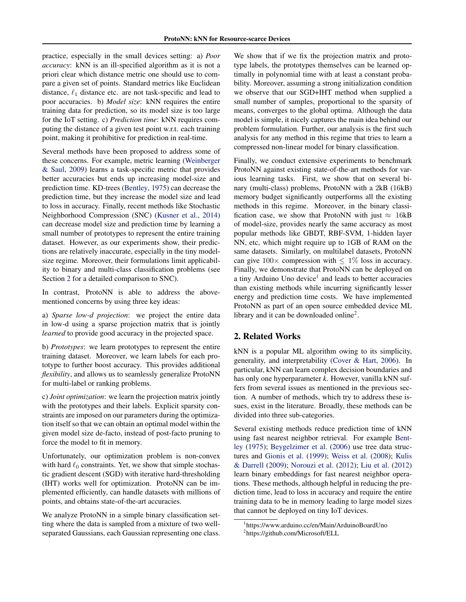practice, especially in the small devices setting: a) *Poor accuracy*: kNN is an ill-specified algorithm as it is not a priori clear which distance metric one should use to compare a given set of points. Standard metrics like Euclidean distance,  $\ell_1$  distance etc. are not task-specific and lead to poor accuracies. b) *Model size*: kNN requires the entire training data for prediction, so its model size is too large for the IoT setting. c) *Prediction time*: kNN requires computing the distance of a given test point w.r.t. each training point, making it prohibitive for prediction in real-time.

Several methods have been proposed to address some of these concerns. For example, metric learning [\(Weinberger](#page-9-0) [& Saul,](#page-9-0) [2009\)](#page-9-0) learns a task-specific metric that provides better accuracies but ends up increasing model-size and prediction time. KD-trees [\(Bentley,](#page-8-0) [1975\)](#page-8-0) can decrease the prediction time, but they increase the model size and lead to loss in accuracy. Finally, recent methods like Stochastic Neighborhood Compression (SNC) [\(Kusner et al.,](#page-8-0) [2014\)](#page-8-0) can decrease model size and prediction time by learning a small number of prototypes to represent the entire training dataset. However, as our experiments show, their predictions are relatively inaccurate, especially in the tiny modelsize regime. Moreover, their formulations limit applicability to binary and multi-class classification problems (see Section 2 for a detailed comparison to SNC).

In contrast, ProtoNN is able to address the abovementioned concerns by using three key ideas:

a) *Sparse low-d projection*: we project the entire data in low-d using a sparse projection matrix that is jointly *learned* to provide good accuracy in the projected space.

b) *Prototypes*: we learn prototypes to represent the entire training dataset. Moreover, we learn labels for each prototype to further boost accuracy. This provides additional *flexibility*, and allows us to seamlessly generalize ProtoNN for multi-label or ranking problems.

c) *Joint optimization*: we learn the projection matrix jointly with the prototypes and their labels. Explicit sparsity constraints are imposed on our parameters during the optimization itself so that we can obtain an optimal model within the given model size de-facto, instead of post-facto pruning to force the model to fit in memory.

Unfortunately, our optimization problem is non-convex with hard  $\ell_0$  constraints. Yet, we show that simple stochastic gradient descent (SGD) with iterative hard-thresholding (IHT) works well for optimization. ProtoNN can be implemented efficiently, can handle datasets with millions of points, and obtains state-of-the-art accuracies.

We analyze ProtoNN in a simple binary classification setting where the data is sampled from a mixture of two wellseparated Gaussians, each Gaussian representing one class.

We show that if we fix the projection matrix and prototype labels, the prototypes themselves can be learned optimally in polynomial time with at least a constant probability. Moreover, assuming a strong initialization condition we observe that our SGD+IHT method when supplied a small number of samples, proportional to the sparsity of means, converges to the global optima. Although the data model is simple, it nicely captures the main idea behind our problem formulation. Further, our analysis is the first such analysis for any method in this regime that tries to learn a compressed non-linear model for binary classification.

Finally, we conduct extensive experiments to benchmark ProtoNN against existing state-of-the-art methods for various learning tasks. First, we show that on several binary (multi-class) problems, ProtoNN with a 2kB (16kB) memory budget significantly outperforms all the existing methods in this regime. Moreover, in the binary classification case, we show that ProtoNN with just  $\approx 16kB$ of model-size, provides nearly the same accuracy as most popular methods like GBDT, RBF-SVM, 1-hidden layer NN, etc, which might require up to 1GB of RAM on the same datasets. Similarly, on multilabel datasets, ProtoNN can give  $100\times$  compression with  $\leq 1\%$  loss in accuracy. Finally, we demonstrate that ProtoNN can be deployed on a tiny Arduino Uno device<sup>1</sup> and leads to better accuracies than existing methods while incurring significantly lesser energy and prediction time costs. We have implemented ProtoNN as part of an open source embedded device ML library and it can be downloaded online<sup>2</sup>.

# 2. Related Works

kNN is a popular ML algorithm owing to its simplicity, generality, and interpretability [\(Cover & Hart,](#page-8-0) [2006\)](#page-8-0). In particular, kNN can learn complex decision boundaries and has only one hyperparameter *k*. However, vanilla kNN suffers from several issues as mentioned in the previous section. A number of methods, which try to address these issues, exist in the literature. Broadly, these methods can be divided into three sub-categories.

Several existing methods reduce prediction time of kNN using fast nearest neighbor retrieval. For example [Bent](#page-8-0)[ley](#page-8-0) [\(1975\)](#page-8-0); [Beygelzimer et al.](#page-8-0) [\(2006\)](#page-8-0) use tree data structures and [Gionis et al.](#page-8-0) [\(1999\)](#page-8-0); [Weiss et al.](#page-9-0) [\(2008\)](#page-9-0); [Kulis](#page-8-0) [& Darrell](#page-8-0) [\(2009\)](#page-8-0); [Norouzi et al.](#page-8-0) [\(2012\)](#page-8-0); [Liu et al.](#page-8-0) [\(2012\)](#page-8-0) learn binary embeddings for fast nearest neighbor operations. These methods, although helpful in reducing the prediction time, lead to loss in accuracy and require the entire training data to be in memory leading to large model sizes that cannot be deployed on tiny IoT devices.

<sup>1</sup> https://www.arduino.cc/en/Main/ArduinoBoardUno 2 https://github.com/Microsoft/ELL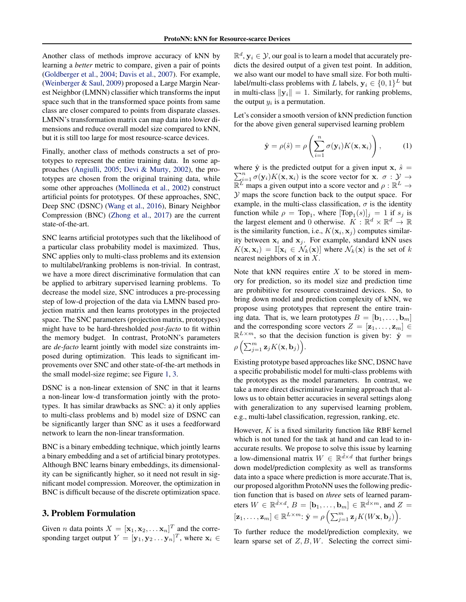Another class of methods improve accuracy of kNN by learning a *better* metric to compare, given a pair of points [\(Goldberger et al.,](#page-8-0) [2004;](#page-8-0) [Davis et al.,](#page-8-0) [2007\)](#page-8-0). For example, [\(Weinberger & Saul,](#page-9-0) [2009\)](#page-9-0) proposed a Large Margin Nearest Neighbor (LMNN) classifier which transforms the input space such that in the transformed space points from same class are closer compared to points from disparate classes. LMNN's transformation matrix can map data into lower dimensions and reduce overall model size compared to kNN, but it is still too large for most resource-scarce devices.

Finally, another class of methods constructs a set of prototypes to represent the entire training data. In some approaches [\(Angiulli,](#page-8-0) [2005;](#page-8-0) [Devi & Murty,](#page-8-0) [2002\)](#page-8-0), the prototypes are chosen from the original training data, while some other approaches [\(Mollineda et al.,](#page-8-0) [2002\)](#page-8-0) construct artificial points for prototypes. Of these approaches, SNC, Deep SNC (DSNC) [\(Wang et al.,](#page-8-0) [2016\)](#page-8-0), Binary Neighbor Compression (BNC) [\(Zhong et al.,](#page-9-0) [2017\)](#page-9-0) are the current state-of-the-art.

SNC learns artificial prototypes such that the likelihood of a particular class probability model is maximized. Thus, SNC applies only to multi-class problems and its extension to multilabel/ranking problems is non-trivial. In contrast, we have a more direct discriminative formulation that can be applied to arbitrary supervised learning problems. To decrease the model size, SNC introduces a pre-processing step of low-d projection of the data via LMNN based projection matrix and then learns prototypes in the projected space. The SNC parameters (projection matrix, prototypes) might have to be hard-thresholded *post-facto* to fit within the memory budget. In contrast, ProtoNN's parameters are *de-facto* learnt jointly with model size constraints imposed during optimization. This leads to significant improvements over SNC and other state-of-the-art methods in the small model-size regime; see Figure [1,](#page-5-0) [3.](#page-7-0)

DSNC is a non-linear extension of SNC in that it learns a non-linear low-d transformation jointly with the prototypes. It has similar drawbacks as SNC: a) it only applies to multi-class problems and b) model size of DSNC can be significantly larger than SNC as it uses a feedforward network to learn the non-linear transformation.

BNC is a binary embedding technique, which jointly learns a binary embedding and a set of artificial binary prototypes. Although BNC learns binary embeddings, its dimensionality can be significantly higher, so it need not result in significant model compression. Moreover, the optimization in BNC is difficult because of the discrete optimization space.

### 3. Problem Formulation

Given *n* data points  $X = [\mathbf{x}_1, \mathbf{x}_2, \dots \mathbf{x}_n]^T$  and the corresponding target output  $Y = [\mathbf{y}_1, \mathbf{y}_2 \dots \mathbf{y}_n]^T$ , where  $\mathbf{x}_i \in$ 

 $\mathbb{R}^d$ ,  $\mathbf{y}_i \in \mathcal{Y}$ , our goal is to learn a model that accurately predicts the desired output of a given test point. In addition, we also want our model to have small size. For both multilabel/multi-class problems with L labels,  $\mathbf{y}_i \in \{0,1\}^L$  but in multi-class  $\|\mathbf{y}_i\| = 1$ . Similarly, for ranking problems, the output  $y_i$  is a permutation.

Let's consider a smooth version of kNN prediction function for the above given general supervised learning problem

$$
\hat{\mathbf{y}} = \rho(\hat{s}) = \rho\left(\sum_{i=1}^{n} \sigma(\mathbf{y}_i) K(\mathbf{x}, \mathbf{x}_i)\right), \quad (1)
$$

where  $\hat{y}$  is the predicted output for a given input x,  $\hat{s} =$  $\sum_{i=1}^{n} \sigma(\mathbf{y}_i) K(\mathbf{x}, \mathbf{x}_i)$  is the score vector for  $\mathbf{x}, \sigma : \mathcal{Y} \to \mathbb{R}^L$  maps a given output into a score vector and  $\rho : \mathbb{R}^L \to$ Y maps the score function back to the output space. For example, in the multi-class classification,  $\sigma$  is the identity function while  $\rho = Top_1$ , where  $[Top_1(s)]_j = 1$  if  $s_j$  is the largest element and 0 otherwise.  $K : \mathbb{R}^d \times \mathbb{R}^d \to \mathbb{R}$ is the similarity function, i.e.,  $K(\mathbf{x}_i, \mathbf{x}_j)$  computes similarity between  $x_i$  and  $x_j$ . For example, standard kNN uses  $K(\mathbf{x}, \mathbf{x}_i) = \mathbb{I}[\mathbf{x}_i \in \mathcal{N}_k(\mathbf{x})]$  where  $\mathcal{N}_k(\mathbf{x})$  is the set of k nearest neighbors of  $x$  in  $X$ .

Note that kNN requires entire  $X$  to be stored in memory for prediction, so its model size and prediction time are prohibitive for resource constrained devices. So, to bring down model and prediction complexity of kNN, we propose using prototypes that represent the entire training data. That is, we learn prototypes  $B = [\mathbf{b}_1, \dots, \mathbf{b}_m]$ and the corresponding score vectors  $Z = [\mathbf{z}_1, \dots, \mathbf{z}_m] \in$  $\mathbb{R}^{L \times m}$ , so that the decision function is given by:  $\hat{\mathbf{y}} =$  $\rho\left(\sum_{j=1}^m\mathbf{z}_jK(\mathbf{x},\mathbf{b}_j)\right)$ .

Existing prototype based approaches like SNC, DSNC have a specific probabilistic model for multi-class problems with the prototypes as the model parameters. In contrast, we take a more direct discriminative learning approach that allows us to obtain better accuracies in several settings along with generalization to any supervised learning problem, e.g., multi-label classification, regression, ranking, etc.

However,  $K$  is a fixed similarity function like RBF kernel which is not tuned for the task at hand and can lead to inaccurate results. We propose to solve this issue by learning a low-dimensional matrix  $W \in \mathbb{R}^{\hat{d} \times d}$  that further brings down model/prediction complexity as well as transforms data into a space where prediction is more accurate.That is, our proposed algorithm ProtoNN uses the following prediction function that is based on *three* sets of learned parameters  $W \in \mathbb{R}^{\hat{d} \times d}$ ,  $B = [\mathbf{b}_1, \dots, \mathbf{b}_m] \in \mathbb{R}^{\hat{d} \times m}$ , and  $Z =$  $[\mathbf{z}_1, \dots, \mathbf{z}_m] \in \mathbb{R}^{L \times m}$ :  $\hat{\mathbf{y}} = \rho \left( \sum_{j=1}^m \mathbf{z}_j K(W\mathbf{x}, \mathbf{b}_j) \right)$ .

To further reduce the model/prediction complexity, we learn sparse set of  $Z, B, W$ . Selecting the correct simi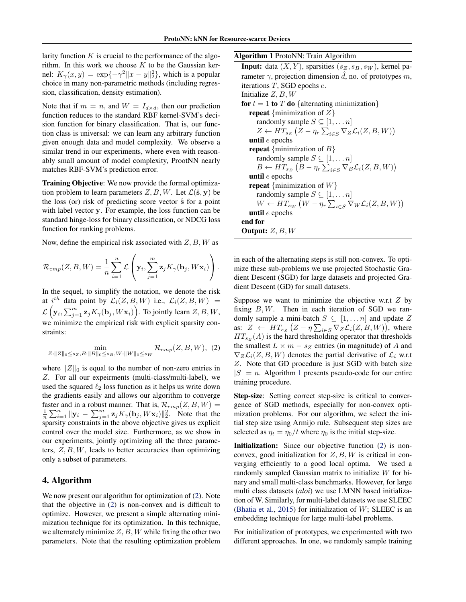<span id="page-3-0"></span>larity function  $K$  is crucial to the performance of the algorithm. In this work we choose  $K$  to be the Gaussian kernel:  $K_{\gamma}(x, y) = \exp\{-\gamma^2 ||x - y||_2^2\}$ , which is a popular choice in many non-parametric methods (including regression, classification, density estimation).

Note that if  $m = n$ , and  $W = I_{d \times d}$ , then our prediction function reduces to the standard RBF kernel-SVM's decision function for binary classification. That is, our function class is universal: we can learn any arbitrary function given enough data and model complexity. We observe a similar trend in our experiments, where even with reasonably small amount of model complexity, ProotNN nearly matches RBF-SVM's prediction error.

Training Objective: We now provide the formal optimization problem to learn parameters  $Z, B, W$ . Let  $\mathcal{L}(\hat{\mathbf{s}}, \mathbf{y})$  be the loss (or) risk of predicting score vector  $\hat{s}$  for a point with label vector y. For example, the loss function can be standard hinge-loss for binary classification, or NDCG loss function for ranking problems.

Now, define the empirical risk associated with  $Z, B, W$  as

$$
\mathcal{R}_{emp}(Z, B, W) = \frac{1}{n} \sum_{i=1}^{n} \mathcal{L}\left(\mathbf{y}_i, \sum_{j=1}^{m} \mathbf{z}_j K_{\gamma}(\mathbf{b}_j, W \mathbf{x}_i)\right).
$$

In the sequel, to simplify the notation, we denote the risk at i<sup>th</sup> data point by  $\mathcal{L}_i(Z, B, W)$  i.e.,  $\mathcal{L}_i(Z, B, W)$  =  $\mathcal{L}\left(\mathbf{y}_i, \sum_{j=1}^m \mathbf{z}_j K_{\gamma}(\mathbf{b}_j, W\mathbf{x}_i)\right)$ . To jointly learn  $Z, B, W$ , we minimize the empirical risk with explicit sparsity constraints:

$$
\min_{Z:\|Z\|_0\leq s_Z,B:\|B\|_0\leq s_B,W:\|W\|_0\leq s_W} \mathcal{R}_{emp}(Z,B,W),\tag{2}
$$

where  $||Z||_0$  is equal to the number of non-zero entries in Z. For all our expeirments (multi-class/multi-label), we used the squared  $\ell_2$  loss function as it helps us write down the gradients easily and allows our algorithm to converge faster and in a robust manner. That is,  $\mathcal{R}_{emp}(Z, B, W) =$  $\frac{1}{n}\sum_{i=1}^n ||\mathbf{y}_i - \sum_{j=1}^m \mathbf{z}_j K_{\gamma}(\mathbf{b}_j, W\mathbf{x}_i)||_2^2$ . Note that the sparsity constraints in the above objective gives us explicit control over the model size. Furthermore, as we show in our experiments, jointly optimizing all the three parameters,  $Z, B, W$ , leads to better accuracies than optimizing only a subset of parameters.

# 4. Algorithm

We now present our algorithm for optimization of (2). Note that the objective in (2) is non-convex and is difficult to optimize. However, we present a simple alternating minimization technique for its optimization. In this technique, we alternately minimize  $Z, B, W$  while fixing the other two parameters. Note that the resulting optimization problem

#### Algorithm 1 ProtoNN: Train Algorithm

**Input:** data  $(X, Y)$ , sparsities  $(s_Z, s_B, s_W)$ , kernel parameter  $\gamma$ , projection dimension  $\hat{d}$ , no. of prototypes m, iterations T, SGD epochs e. Initialize  $Z, B, W$ for  $t = 1$  to T do {alternating minimization} **repeat** {minimization of  $Z$ } randomly sample  $S \subseteq [1, \ldots n]$  $Z \leftarrow HT_{s_Z} (Z - \eta_r \sum_{i \in S} \nabla_Z \mathcal{L}_i(Z, B, W))$ until  $e$  epochs **repeat** {minimization of  $B$ } randomly sample  $S \subseteq [1, \ldots n]$  $B \leftarrow HT_{s_B} (B - \eta_r \sum_{i \in S} \nabla_B \mathcal{L}_i(Z, B, W))$ until  $e$  epochs **repeat** {minimization of  $W$ } randomly sample  $S \subseteq [1, \ldots n]$  $W \leftarrow HT_{s_W} (W - \eta_r \sum_{i \in S} \nabla_W \mathcal{L}_i(Z, B, W))$ until  $e$  epochs end for Output: Z, B, W

in each of the alternating steps is still non-convex. To optimize these sub-problems we use projected Stochastic Gradient Descent (SGD) for large datasets and projected Gradient Descent (GD) for small datasets.

Suppose we want to minimize the objective w.r.t  $Z$  by fixing  $B, W$ . Then in each iteration of SGD we randomly sample a mini-batch  $S \subseteq [1, \ldots n]$  and update Z as:  $Z \leftarrow HT_{s_Z} (Z - \eta \sum_{i \in S} \nabla_Z \mathcal{L}_i(Z, B, W)),$  where  $HT_{sz}(A)$  is the hard thresholding operator that thresholds the smallest  $L \times m - s_Z$  entries (in magnitude) of A and  $\nabla_Z \mathcal{L}_i(Z, B, W)$  denotes the partial derivative of  $\mathcal{L}_i$  w.r.t Z. Note that GD procedure is just SGD with batch size  $|S| = n$ . Algorithm 1 presents pseudo-code for our entire training procedure.

Step-size: Setting correct step-size is critical to convergence of SGD methods, especially for non-convex optimization problems. For our algorithm, we select the initial step size using Armijo rule. Subsequent step sizes are selected as  $\eta_t = \eta_0/t$  where  $\eta_0$  is the initial step-size.

**Initialization:** Since our objective function (2) is nonconvex, good initialization for  $Z, B, W$  is critical in converging efficiently to a good local optima. We used a randomly sampled Gaussian matrix to initialize  $W$  for binary and small multi-class benchmarks. However, for large multi class datasets (*aloi*) we use LMNN based initialization of W. Similarly, for multi-label datasets we use SLEEC [\(Bhatia et al.,](#page-8-0) [2015\)](#page-8-0) for initialization of  $W$ ; SLEEC is an embedding technique for large multi-label problems.

For initialization of prototypes, we experimented with two different approaches. In one, we randomly sample training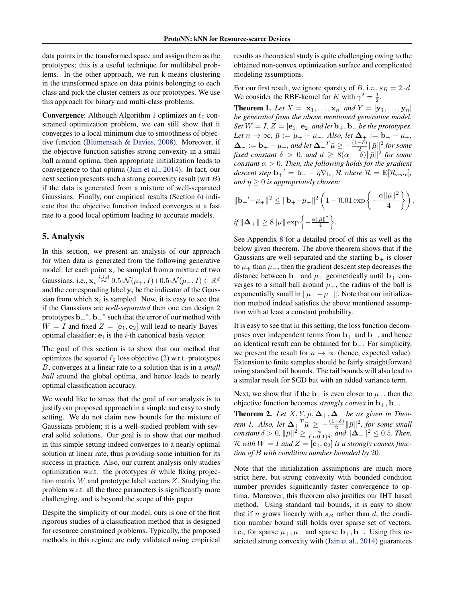<span id="page-4-0"></span>data points in the transformed space and assign them as the prototypes; this is a useful technique for multilabel problems. In the other approach, we run k-means clustering in the transformed space on data points belonging to each class and pick the cluster centers as our prototypes. We use this approach for binary and multi-class problems.

**Convergence:** Although Algorithm [1](#page-3-0) optimizes an  $\ell_0$  constrained optimization problem, we can still show that it converges to a local minimum due to smoothness of objective function [\(Blumensath & Davies,](#page-8-0) [2008\)](#page-8-0). Moreover, if the objective function satisfies strong convexity in a small ball around optima, then appropriate initialization leads to convergence to that optima [\(Jain et al.,](#page-8-0) [2014\)](#page-8-0). In fact, our next section presents such a strong convexity result (wrt B) if the data is generated from a mixture of well-separated Gaussians. Finally, our empirical results (Section [6\)](#page-5-0) indicate that the objective function indeed converges at a fast rate to a good local optimum leading to accurate models.

### 5. Analysis

In this section, we present an analysis of our approach for when data is generated from the following generative model: let each point  $x_i$  be sampled from a mixture of two Gaussians, i.e.,  $\mathbf{x}_i \stackrel{i.i.d}{\sim} 0.5 \cdot \mathcal{N}(\mu_+, I) + 0.5 \cdot \mathcal{N}(\mu_-, I) \in \mathbb{R}^d$ and the corresponding label  $y_i$  be the indicator of the Gaussian from which  $x_i$  is sampled. Now, it is easy to see that if the Gaussians are *well-separated* then one can design 2 prototypes  $\mathbf{b}_+^*$ ,  $\mathbf{b}_-^*$  such that the error of our method with  $W = I$  and fixed  $Z = [\mathbf{e}_1, \mathbf{e}_2]$  will lead to nearly Bayes' optimal classifier;  $e_i$  is the *i*-th canonical basis vector.

The goal of this section is to show that our method that optimizes the squared  $\ell_2$  loss objective [\(2\)](#page-3-0) w.r.t. prototypes B, converges at a linear rate to a solution that is in a *small ball* around the global optima, and hence leads to nearly optimal classification accuracy.

We would like to stress that the goal of our analysis is to justify our proposed approach in a simple and easy to study setting. We do not claim new bounds for the mixture of Gaussians problem; it is a well-studied problem with several solid solutions. Our goal is to show that our method in this simple setting indeed converges to a nearly optimal solution at linear rate, thus providing some intuition for its success in practice. Also, our current analysis only studies optimization w.r.t. the prototypes  $B$  while fixing projection matrix  $W$  and prototype label vectors  $Z$ . Studying the problem w.r.t. all the three parameters is significantly more challenging, and is beyond the scope of this paper.

Despite the simplicity of our model, ours is one of the first rigorous studies of a classification method that is designed for resource constrained problems. Typically, the proposed methods in this regime are only validated using empirical

results as theoretical study is quite challenging owing to the obtained non-convex optimization surface and complicated modeling assumptions.

For our first result, we ignore sparsity of B, i.e.,  $s_B = 2 \cdot d$ . We consider the RBF-kernel for K with  $\gamma^2 = \frac{1}{2}$ .

**Theorem 1.** Let  $X = [\mathbf{x}_1, ..., \mathbf{x}_n]$  and  $Y = [\mathbf{y}_1, ..., \mathbf{y}_n]$ *be generated from the above mentioned generative model. Set*  $W = I$ ,  $Z = [\mathbf{e}_1, \mathbf{e}_2]$  *and let*  $\mathbf{b}_+, \mathbf{b}_-$  *be the prototypes.*  $Let n \to \infty$ ,  $\bar{\mu} := \mu_+ - \mu_-.$  Also, let  $\Delta_+ := \mathbf{b}_+ - \mu_+$ ,  $\bm{\Delta}_- := \mathbf{b}_+ - \mu_-,$  and let  $\bm{\Delta_+}^T \bar{\mu} \geq -\frac{(1-\delta)}{2} \|\bar{\mu}\|^2$  for some *fixed constant*  $\delta > 0$ , and  $d \geq 8(\alpha - \delta) ||\bar{\mu}||^2$  for some *constant*  $\alpha > 0$ *. Then, the following holds for the gradient descent step*  $\mathbf{b}_+^{\prime} = \mathbf{b}_+ - \eta \nabla_{\mathbf{b}_+} \mathcal{R}$  *where*  $\mathcal{R} = \mathbb{E}[\mathcal{R}_{emp}]$ *, and*  $\eta \geq 0$  *is appropriately chosen:* 

$$
\begin{aligned} &\|\mathbf{b}_+{}'-\mu_+\|^2\leq \|\mathbf{b}_+-\mu_+\|^2\left(1-0.01\exp\left\{-\frac{\alpha\|\bar{\mu}\|^2}{4}\right\}\right),\\ &\text{if }\|\mathbf{\Delta}_+\|\geq 8\|\bar{\mu}\|\exp\left\{-\frac{\alpha\|\bar{\mu}\|^2}{4}\right\}. \end{aligned}
$$

See Appendix [8](#page-10-0) for a detailed proof of this as well as the below given theorem. The above theorem shows that if the Gaussians are well-separated and the starting  $\mathbf{b}_{+}$  is closer to  $\mu_+$  than  $\mu_-,$  then the gradient descent step decreases the distance between  $\mathbf{b}_{+}$  and  $\mu_{+}$  geometrically until  $\mathbf{b}_{+}$  converges to a small ball around  $\mu_+$ , the radius of the ball is exponentially small in  $\|\mu_+ - \mu_-\|$ . Note that our initialization method indeed satisfies the above mentioned assumption with at least a constant probability.

It is easy to see that in this setting, the loss function decomposes over independent terms from  $\mathbf{b}_+$  and  $\mathbf{b}_-$ , and hence an identical result can be obtained for b−. For simplicity, we present the result for  $n \to \infty$  (hence, expected value). Extension to finite samples should be fairly straightforward using standard tail bounds. The tail bounds will also lead to a similar result for SGD but with an added variance term.

Next, we show that if the  $b_+$  is even closer to  $\mu_+$ , then the objective function becomes *strongly convex* in  $\mathbf{b}_{+}, \mathbf{b}_{-}$ .

**Theorem 2.** Let  $X, Y, \bar{\mu}, \Delta_+, \Delta_-$  be as given in Theo*rem 1.* Also, let  $\Delta_{+}^T \overline{\mu} \geq -\frac{(1-\delta)}{2} ||\overline{\mu}||^2$ , for some small *constant*  $\delta > 0$ ,  $\|\bar{\mu}\|^2 \ge \frac{4}{(\ln 0.1)\delta}$ *, and*  $\|\tilde{\mathbf{\Delta}}_+\|^2 \le 0.5$ *. Then,*  $\mathcal{R}$  with  $W = I$  and  $Z = [\mathbf{e}_1, \mathbf{e}_2]$  *is a strongly convex function of* B *with condition number bounded by* 20*.*

Note that the initialization assumptions are much more strict here, but strong convexity with bounded condition number provides significantly faster convergence to optima. Moreover, this theorem also justifies our IHT based method. Using standard tail bounds, it is easy to show that if n grows linearly with  $s_B$  rather than d, the condition number bound still holds over sparse set of vectors, i.e., for sparse  $\mu_+$ ,  $\mu_-$  and sparse  $\mathbf{b}_+$ ,  $\mathbf{b}_-$ . Using this restricted strong convexity with [\(Jain et al.,](#page-8-0) [2014\)](#page-8-0) guarantees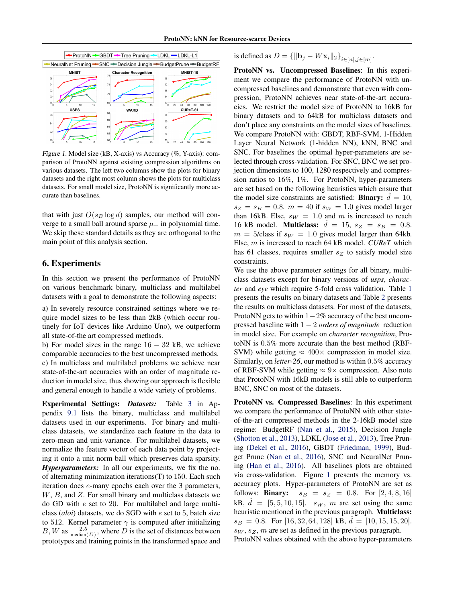<span id="page-5-0"></span>

Figure 1. Model size (kB, X-axis) vs Accuracy (%, Y-axis): comparison of ProtoNN against existing compression algorithms on various datasets. The left two columns show the plots for binary datasets and the right most column shows the plots for multiclass datasets. For small model size, ProtoNN is significantly more accurate than baselines.

that with just  $O(s_B \log d)$  samples, our method will converge to a small ball around sparse  $\mu$  in polynomial time. We skip these standard details as they are orthogonal to the main point of this analysis section.

### 6. Experiments

In this section we present the performance of ProtoNN on various benchmark binary, multiclass and multilabel datasets with a goal to demonstrate the following aspects:

a) In severely resource constrained settings where we require model sizes to be less than 2kB (which occur routinely for IoT devices like Arduino Uno), we outperform all state-of-the art compressed methods.

b) For model sizes in the range  $16 - 32$  kB, we achieve comparable accuracies to the best uncompressed methods. c) In multiclass and multilabel problems we achieve near state-of-the-art accuracies with an order of magnitude reduction in model size, thus showing our approach is flexible and general enough to handle a wide variety of problems.

Experimental Settings: *Datasets:* Table [3](#page-15-0) in Appendix [9.1](#page-14-0) lists the binary, multiclass and multilabel datasets used in our experiments. For binary and multiclass datasets, we standardize each feature in the data to zero-mean and unit-variance. For multilabel datasets, we normalize the feature vector of each data point by projecting it onto a unit norm ball which preserves data sparsity. *Hyperparameters:* In all our experiments, we fix the no. of alternating minimization iterations(T) to 150. Each such iteration does e-many epochs each over the 3 parameters,  $W, B$ , and  $Z$ . For small binary and multiclass datasets we do GD with e set to 20. For multilabel and large multiclass (*aloi*) datasets, we do SGD with e set to 5, batch size to 512. Kernel parameter  $\gamma$  is computed after initializing  $B, W$  as  $\frac{2.5}{\text{median}(D)}$ , where D is the set of distances between prototypes and training points in the transformed space and is defined as  $D = {\{\|\mathbf{b}_j - W\mathbf{x}_i\|_2\}}_{i \in [n], j \in [m]}.$ 

ProtoNN vs. Uncompressed Baselines: In this experiment we compare the performance of ProtoNN with uncompressed baselines and demonstrate that even with compression, ProtoNN achieves near state-of-the-art accuracies. We restrict the model size of ProtoNN to 16kB for binary datasets and to 64kB for multiclass datasets and don't place any constraints on the model sizes of baselines. We compare ProtoNN with: GBDT, RBF-SVM, 1-Hidden Layer Neural Network (1-hidden NN), kNN, BNC and SNC. For baselines the optimal hyper-parameters are selected through cross-validation. For SNC, BNC we set projection dimensions to 100, 1280 respectively and compression ratios to 16%, 1%. For ProtoNN, hyper-parameters are set based on the following heuristics which ensure that the model size constraints are satisfied: **Binary:**  $\hat{d} = 10$ ,  $s_Z = s_B = 0.8$ .  $m = 40$  if  $s_W = 1.0$  gives model larger than 16kB. Else,  $s_W = 1.0$  and m is increased to reach 16 kB model. **Multiclass:**  $\hat{d} = 15$ ,  $s_Z = s_B = 0.8$ .  $m = 5$ /class if  $s_W = 1.0$  gives model larger than 64kb. Else, m is increased to reach 64 kB model. *CUReT* which has 61 classes, requires smaller  $s_Z$  to satisfy model size constraints.

We use the above parameter settings for all binary, multiclass datasets except for binary versions of *usps*, *character* and *eye* which require 5-fold cross validation. Table [1](#page-6-0) presents the results on binary datasets and Table [2](#page-6-0) presents the results on multiclass datasets. For most of the datasets, ProtoNN gets to within  $1-2%$  accuracy of the best uncompressed baseline with 1 − 2 *orders of magnitude* reduction in model size. For example on *character recognition*, ProtoNN is 0.5% more accurate than the best method (RBF-SVM) while getting  $\approx 400 \times$  compression in model size. Similarly, on *letter-26*, our method is within 0.5% accuracy of RBF-SVM while getting  $\approx 9 \times$  compression. Also note that ProtoNN with 16kB models is still able to outperform BNC, SNC on most of the datasets.

ProtoNN vs. Compressed Baselines: In this experiment we compare the performance of ProtoNN with other stateof-the-art compressed methods in the 2-16kB model size regime: BudgetRF [\(Nan et al.,](#page-8-0) [2015\)](#page-8-0), Decision Jungle [\(Shotton et al.,](#page-8-0) [2013\)](#page-8-0), LDKL [\(Jose et al.,](#page-8-0) [2013\)](#page-8-0), Tree Pruning [\(Dekel et al.,](#page-8-0) [2016\)](#page-8-0), GBDT [\(Friedman,](#page-8-0) [1999\)](#page-8-0), Budget Prune [\(Nan et al.,](#page-8-0) [2016\)](#page-8-0), SNC and NeuralNet Pruning [\(Han et al.,](#page-8-0) [2016\)](#page-8-0). All baselines plots are obtained via cross-validation. Figure 1 presents the memory vs. accuracy plots. Hyper-parameters of ProtoNN are set as follows: **Binary:**  $s_B = s_Z = 0.8$ . For  $[2, 4, 8, 16]$ kB,  $\hat{d} = [5, 5, 10, 15]$ .  $s_W$ , m are set using the same heuristic mentioned in the previous paragraph. Multiclass:  $s_B = 0.8$ . For [16, 32, 64, 128] kB,  $d = [10, 15, 15, 20]$ .  $s_W$ ,  $s_Z$ ,  $m$  are set as defined in the previous paragraph.

ProtoNN values obtained with the above hyper-parameters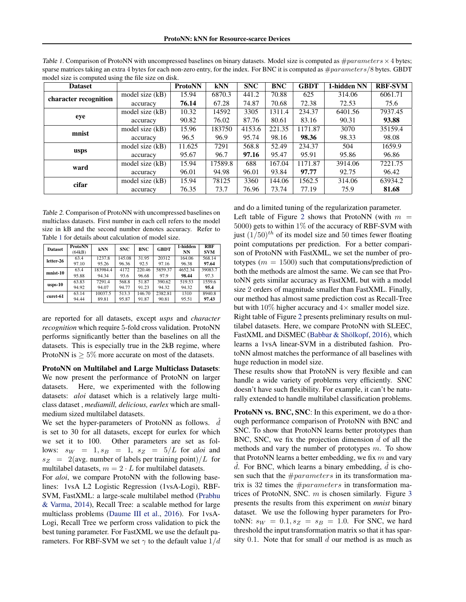| <b>Dataset</b>        |                   | <b>ProtoNN</b> | <b>kNN</b> | <b>SNC</b> | <b>BNC</b> | <b>GBDT</b> | 1-hidden NN | <b>RBF-SVM</b> |
|-----------------------|-------------------|----------------|------------|------------|------------|-------------|-------------|----------------|
| character recognition | model size $(kB)$ | 15.94          | 6870.3     | 441.2      | 70.88      | 625         | 314.06      | 6061.71        |
|                       | accuracy          | 76.14          | 67.28      | 74.87      | 70.68      | 72.38       | 72.53       | 75.6           |
| eye                   | model size $(kB)$ | 10.32          | 14592      | 3305       | 1311.4     | 234.37      | 6401.56     | 7937.45        |
|                       | accuracy          | 90.82          | 76.02      | 87.76      | 80.61      | 83.16       | 90.31       | 93.88          |
| mnist                 | model size $(kB)$ | 15.96          | 183750     | 4153.6     | 221.35     | 1171.87     | 3070        | 35159.4        |
|                       | accuracy          | 96.5           | 96.9       | 95.74      | 98.16      | 98.36       | 98.33       | 98.08          |
| usps                  | model size (kB)   | 11.625         | 7291       | 568.8      | 52.49      | 234.37      | 504         | 1659.9         |
|                       | accuracy          | 95.67          | 96.7       | 97.16      | 95.47      | 95.91       | 95.86       | 96.86          |
| ward                  | model size $(kB)$ | 15.94          | 17589.8    | 688        | 167.04     | 1171.87     | 3914.06     | 7221.75        |
|                       | accuracy          | 96.01          | 94.98      | 96.01      | 93.84      | 97.77       | 92.75       | 96.42          |
| cifar                 | model size $(kB)$ | 15.94          | 78125      | 3360       | 144.06     | 1562.5      | 314.06      | 63934.2        |
|                       | accuracy          | 76.35          | 73.7       | 76.96      | 73.74      | 77.19       | 75.9        | 81.68          |

<span id="page-6-0"></span>Table 1. Comparison of ProtoNN with uncompressed baselines on binary datasets. Model size is computed as  $\#parameters \times 4$  bytes; sparse matrices taking an extra 4 bytes for each non-zero entry, for the index. For BNC it is computed as  $\#parameters/8$  bytes. GBDT model size is computed using the file size on disk.

Table 2. Comparison of ProtoNN with uncompressed baselines on multiclass datasets. First number in each cell refers to the model size in kB and the second number denotes accuracy. Refer to Table 1 for details about calculation of model size.

| <b>Dataset</b> | <b>ProtoNN</b><br>(64kB) | <b>kNN</b> | <b>SNC</b> | <b>BNC</b> | <b>GBDT</b> | 1-hidden<br><b>NN</b> | <b>RBF</b><br><b>SVM</b> |
|----------------|--------------------------|------------|------------|------------|-------------|-----------------------|--------------------------|
| letter-26      | 63.4                     | 1237.8     | 145.08     | 31.95      | 20312       | 164.06                | 568.14                   |
|                | 97.10                    | 95.26      | 96.36      | 92.5       | 97.16       | 96.38                 | 97.64                    |
| mnist-10       | 63.4                     | 183984.4   | 4172       | 220.46     | 5859.37     | 4652.34               | 39083.7                  |
|                | 95.88                    | 94.34      | 93.6       | 96.68      | 97.9        | 98.44                 | 97.3                     |
| usps-10        | 63.83                    | 7291.4     | 568.8      | 51.87      | 390.62      | 519.53                | 1559.6                   |
|                | 94.92                    | 94.07      | 94.77      | 91.23      | 94.32       | 94.32                 | 95.4                     |
| curet-61       | 63.14                    | 10037.5    | 513.3      | 146.70     | 2382.81     | 1310                  | 8940.8                   |
|                | 94.44                    | 89.81      | 95.87      | 91.87      | 90.81       | 95.51                 | 97.43                    |

are reported for all datasets, except *usps* and *character recognition* which require 5-fold cross validation. ProtoNN performs significantly better than the baselines on all the datasets. This is especially true in the 2kB regime, where ProtoNN is  $\geq 5\%$  more accurate on most of the datasets.

ProtoNN on Multilabel and Large Multiclass Datasets: We now present the performance of ProtoNN on larger datasets. Here, we experimented with the following datasets: *aloi* dataset which is a relatively large multiclass dataset , *mediamill, delicious, eurlex* which are smallmedium sized multilabel datasets.

We set the hyper-parameters of ProtoNN as follows.  $d$ is set to 30 for all datasets, except for eurlex for which we set it to 100. Other parameters are set as follows:  $s_W = 1$ ,  $s_B = 1$ ,  $s_Z = 5/L$  for *aloi* and  $s_Z$  = 2(avg. number of labels per training point)/L for multilabel datasets,  $m = 2 \cdot L$  for multilabel datasets.

For *aloi*, we compare ProtoNN with the following baselines: 1vsA L2 Logistic Regression (1vsA-Logi), RBF-SVM, FastXML: a large-scale multilabel method [\(Prabhu](#page-8-0) [& Varma,](#page-8-0) [2014\)](#page-8-0), Recall Tree: a scalable method for large multiclass problems [\(Daume III et al.,](#page-8-0) [2016\)](#page-8-0). For 1vsA-Logi, Recall Tree we perform cross validation to pick the best tuning parameter. For FastXML we use the default parameters. For RBF-SVM we set  $\gamma$  to the default value  $1/d$  and do a limited tuning of the regularization parameter. Left table of Figure [2](#page-7-0) shows that ProtoNN (with  $m =$ 5000) gets to within 1% of the accuracy of RBF-SVM with just  $(1/50)^{th}$  of its model size and 50 times fewer floating point computations per prediction. For a better comparison of ProtoNN with FastXML, we set the number of prototypes ( $m = 1500$ ) such that computations/prediction of both the methods are almost the same. We can see that ProtoNN gets similar accuracy as FastXML but with a model size 2 orders of magnitude smaller than FastXML. Finally, our method has almost same prediction cost as Recall-Tree but with 10% higher accuracy and  $4\times$  smaller model size. Right table of Figure [2](#page-7-0) presents preliminary results on multilabel datasets. Here, we compare ProtoNN with SLEEC, FastXML and DiSMEC (Babbar  $\&$  Shölkopf, [2016\)](#page-8-0), which learns a 1vsA linear-SVM in a distributed fashion. ProtoNN almost matches the performance of all baselines with huge reduction in model size.

These results show that ProtoNN is very flexible and can handle a wide variety of problems very efficiently. SNC doesn't have such flexibility. For example, it can't be naturally extended to handle multilabel classification problems.

ProtoNN vs. BNC, SNC: In this experiment, we do a thorough performance comparison of ProtoNN with BNC and SNC. To show that ProtoNN learns better prototypes than BNC, SNC, we fix the projection dimension  $\tilde{d}$  of all the methods and vary the number of prototypes  $m$ . To show that ProtoNN learns a better embedding, we fix  $m$  and vary  $d.$  For BNC, which learns a binary embedding,  $d$  is chosen such that the  $\#parameters$  in its transformation matrix is 32 times the  $\#parameters$  in transformation matrices of ProtoNN, SNC.  $m$  is chosen similarly. Figure [3](#page-7-0) presents the results from this experiment on *mnist* binary dataset. We use the following hyper parameters for ProtoNN:  $s_W = 0.1, s_Z = s_B = 1.0$ . For SNC, we hard threshold the input transformation matrix so that it has sparsity 0.1. Note that for small  $d$  our method is as much as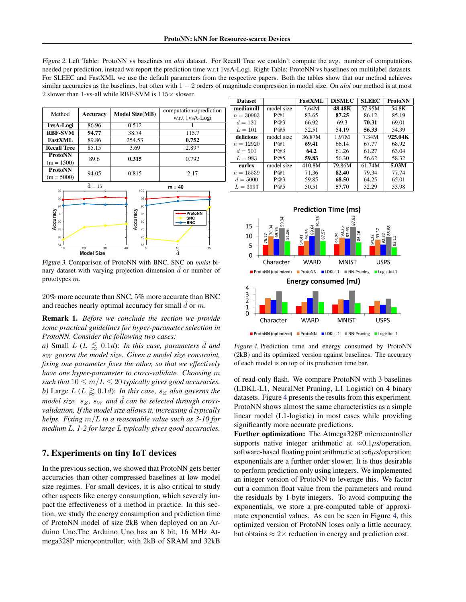<span id="page-7-0"></span>Figure 2. Left Table: ProtoNN vs baselines on *aloi* dataset. For Recall Tree we couldn't compute the avg. number of computations needed per prediction, instead we report the prediction time w.r.t 1vsA-Logi. Right Table: ProtoNN vs baselines on multilabel datasets. For SLEEC and FastXML we use the default parameters from the respective papers. Both the tables show that our method achieves similar accuracies as the baselines, but often with 1 − 2 orders of magnitude compression in model size. On *aloi* our method is at most 2 slower than 1-vs-all while RBF-SVM is  $115\times$  slower.

| Method             | <b>Accuracy</b>         | <b>Model Size(MB)</b> | computations/prediction |  |
|--------------------|-------------------------|-----------------------|-------------------------|--|
|                    |                         |                       | w.r.t 1vsA-Logi         |  |
| 1vsA-Logi          | 86.96                   | 0.512                 |                         |  |
| <b>RBF-SVM</b>     | 94.77                   | 38.74                 | 115.7                   |  |
| <b>FastXML</b>     | 89.86                   | 254.53                | 0.752                   |  |
| <b>Recall Tree</b> | 85.15                   | 3.69                  | 2.89*                   |  |
| <b>ProtoNN</b>     | 89.6                    | 0.315                 | 0.792                   |  |
| $(m = 1500)$       |                         |                       |                         |  |
| <b>ProtoNN</b>     | 94.05                   | 0.815                 | 2.17                    |  |
| $(m = 5000)$       |                         |                       |                         |  |
|                    | $\hat{\mathbf{d}} = 15$ |                       | $m = 40$                |  |



Figure 3. Comparison of ProtoNN with BNC, SNC on *mnist* binary dataset with varying projection dimension  $\hat{d}$  or number of prototypes m.

20% more accurate than SNC, 5% more accurate than BNC and reaches nearly optimal accuracy for small  $\hat{d}$  or  $m$ .

Remark 1. *Before we conclude the section we provide some practical guidelines for hyper-parameter selection in ProtoNN. Consider the following two cases:*

*a)* Small  $L$  ( $L \leq 0.1d$ ): *In this case, parameters d and* s<sup>W</sup> *govern the model size. Given a model size constraint, fixing one parameter fixes the other, so that we effectively have one hyper-parameter to cross-validate. Choosing* m *such that*  $10 \le m/L \le 20$  *typically gives good accuracies. b*) Large  $L(L \gtrsim 0.1d)$ : *In this case,*  $s_Z$  *also governs the model size.*  $s_Z$ ,  $s_W$  *and*  $\hat{d}$  *can be selected through crossvalidation. If the model size allows it, increasing*  $\hat{d}$  *typically helps. Fixing* m/L *to a reasonable value such as 3-10 for medium* L*, 1-2 for large* L *typically gives good accuracies.*

### 7. Experiments on tiny IoT devices

In the previous section, we showed that ProtoNN gets better accuracies than other compressed baselines at low model size regimes. For small devices, it is also critical to study other aspects like energy consumption, which severely impact the effectiveness of a method in practice. In this section, we study the energy consumption and prediction time of ProtoNN model of size 2kB when deployed on an Arduino Uno.The Arduino Uno has an 8 bit, 16 MHz Atmega328P microcontroller, with 2kB of SRAM and 32kB

| <b>Dataset</b> |            | <b>FastXML</b> | <b>DiSMEC</b> | <b>SLEEC</b> | <b>ProtoNN</b> |
|----------------|------------|----------------|---------------|--------------|----------------|
| mediamill      | model size | 7.64M          | 48.48K        | 57.95M       | 54.8K          |
| $n = 30993$    | P@1        | 83.65          | 87.25         | 86.12        | 85.19          |
| $d = 120$      | P@3        | 66.92          | 69.3          | 70.31        | 69.01          |
| $L = 101$      | P@5        | 52.51          | 54.19         | 56.33        | 54.39          |
| delicious      | model size | 36.87M         | 1.97M         | 7.34M        | 925.04K        |
| $n = 12920$    | P@1        | 69.41          | 66.14         | 67.77        | 68.92          |
| $d = 500$      | P@3        | 64.2           | 61.26         | 61.27        | 63.04          |
| $L=983$        | P@5        | 59.83          | 56.30         | 56.62        | 58.32          |
| eurlex         | model size | 410.8M         | 79.86M        | 61.74M       | 5.03M          |
| $n = 15539$    | P@1        | 71.36          | 82.40         | 79.34        | 77.74          |
| $d = 5000$     | P@3        | 59.85          | 68.50         | 64.25        | 65.01          |
| $L = 3993$     | P@5        | 50.51          | 57.70         | 52.29        | 53.98          |



Figure 4. Prediction time and energy consumed by ProtoNN (2kB) and its optimized version against baselines. The accuracy of each model is on top of its prediction time bar.

of read-only flash. We compare ProtoNN with 3 baselines (LDKL-L1, NeuralNet Pruning, L1 Logistic) on 4 binary datasets. Figure 4 presents the results from this experiment. ProtoNN shows almost the same characteristics as a simple linear model (L1-logistic) in most cases while providing significantly more accurate predictions.

Further optimization: The Atmega328P microcontroller supports native integer arithmetic at  $\approx 0.1 \mu s$ /operation, software-based floating point arithmetic at  $\approx$ 6µs/operation; exponentials are a further order slower. It is thus desirable to perform prediction only using integers. We implemented an integer version of ProtoNN to leverage this. We factor out a common float value from the parameters and round the residuals by 1-byte integers. To avoid computing the exponentials, we store a pre-computed table of approximate exponential values. As can be seen in Figure 4, this optimized version of ProtoNN loses only a little accuracy, but obtains  $\approx 2 \times$  reduction in energy and prediction cost.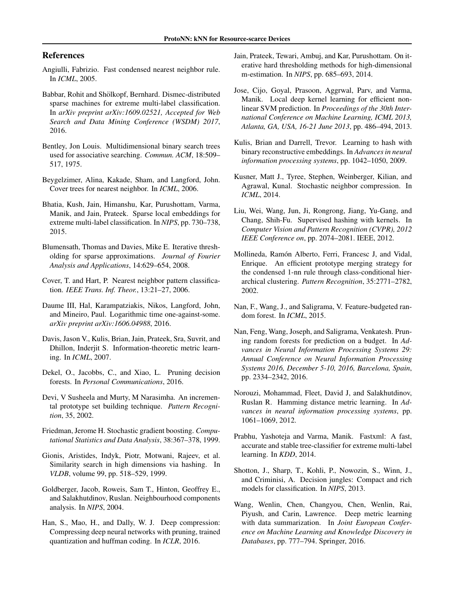### <span id="page-8-0"></span>References

- Angiulli, Fabrizio. Fast condensed nearest neighbor rule. In *ICML*, 2005.
- Babbar, Rohit and Shölkopf, Bernhard. Dismec-distributed sparse machines for extreme multi-label classification. In *arXiv preprint arXiv:1609.02521, Accepted for Web Search and Data Mining Conference (WSDM) 2017*, 2016.
- Bentley, Jon Louis. Multidimensional binary search trees used for associative searching. *Commun. ACM*, 18:509– 517, 1975.
- Beygelzimer, Alina, Kakade, Sham, and Langford, John. Cover trees for nearest neighbor. In *ICML*, 2006.
- Bhatia, Kush, Jain, Himanshu, Kar, Purushottam, Varma, Manik, and Jain, Prateek. Sparse local embeddings for extreme multi-label classification. In *NIPS*, pp. 730–738, 2015.
- Blumensath, Thomas and Davies, Mike E. Iterative thresholding for sparse approximations. *Journal of Fourier Analysis and Applications*, 14:629–654, 2008.
- Cover, T. and Hart, P. Nearest neighbor pattern classification. *IEEE Trans. Inf. Theor.*, 13:21–27, 2006.
- Daume III, Hal, Karampatziakis, Nikos, Langford, John, and Mineiro, Paul. Logarithmic time one-against-some. *arXiv preprint arXiv:1606.04988*, 2016.
- Davis, Jason V., Kulis, Brian, Jain, Prateek, Sra, Suvrit, and Dhillon, Inderjit S. Information-theoretic metric learning. In *ICML*, 2007.
- Dekel, O., Jacobbs, C., and Xiao, L. Pruning decision forests. In *Personal Communications*, 2016.
- Devi, V Susheela and Murty, M Narasimha. An incremental prototype set building technique. *Pattern Recognition*, 35, 2002.
- Friedman, Jerome H. Stochastic gradient boosting. *Computational Statistics and Data Analysis*, 38:367–378, 1999.
- Gionis, Aristides, Indyk, Piotr, Motwani, Rajeev, et al. Similarity search in high dimensions via hashing. In *VLDB*, volume 99, pp. 518–529, 1999.
- Goldberger, Jacob, Roweis, Sam T., Hinton, Geoffrey E., and Salakhutdinov, Ruslan. Neighbourhood components analysis. In *NIPS*, 2004.
- Han, S., Mao, H., and Dally, W. J. Deep compression: Compressing deep neural networks with pruning, trained quantization and huffman coding. In *ICLR*, 2016.
- Jain, Prateek, Tewari, Ambuj, and Kar, Purushottam. On iterative hard thresholding methods for high-dimensional m-estimation. In *NIPS*, pp. 685–693, 2014.
- Jose, Cijo, Goyal, Prasoon, Aggrwal, Parv, and Varma, Manik. Local deep kernel learning for efficient nonlinear SVM prediction. In *Proceedings of the 30th International Conference on Machine Learning, ICML 2013, Atlanta, GA, USA, 16-21 June 2013*, pp. 486–494, 2013.
- Kulis, Brian and Darrell, Trevor. Learning to hash with binary reconstructive embeddings. In *Advances in neural information processing systems*, pp. 1042–1050, 2009.
- Kusner, Matt J., Tyree, Stephen, Weinberger, Kilian, and Agrawal, Kunal. Stochastic neighbor compression. In *ICML*, 2014.
- Liu, Wei, Wang, Jun, Ji, Rongrong, Jiang, Yu-Gang, and Chang, Shih-Fu. Supervised hashing with kernels. In *Computer Vision and Pattern Recognition (CVPR), 2012 IEEE Conference on*, pp. 2074–2081. IEEE, 2012.
- Mollineda, Ramón Alberto, Ferri, Francesc J, and Vidal, Enrique. An efficient prototype merging strategy for the condensed 1-nn rule through class-conditional hierarchical clustering. *Pattern Recognition*, 35:2771–2782, 2002.
- Nan, F., Wang, J., and Saligrama, V. Feature-budgeted random forest. In *ICML*, 2015.
- Nan, Feng, Wang, Joseph, and Saligrama, Venkatesh. Pruning random forests for prediction on a budget. In *Advances in Neural Information Processing Systems 29: Annual Conference on Neural Information Processing Systems 2016, December 5-10, 2016, Barcelona, Spain*, pp. 2334–2342, 2016.
- Norouzi, Mohammad, Fleet, David J, and Salakhutdinov, Ruslan R. Hamming distance metric learning. In *Advances in neural information processing systems*, pp. 1061–1069, 2012.
- Prabhu, Yashoteja and Varma, Manik. Fastxml: A fast, accurate and stable tree-classifier for extreme multi-label learning. In *KDD*, 2014.
- Shotton, J., Sharp, T., Kohli, P., Nowozin, S., Winn, J., and Criminisi, A. Decision jungles: Compact and rich models for classification. In *NIPS*, 2013.
- Wang, Wenlin, Chen, Changyou, Chen, Wenlin, Rai, Piyush, and Carin, Lawrence. Deep metric learning with data summarization. In *Joint European Conference on Machine Learning and Knowledge Discovery in Databases*, pp. 777–794. Springer, 2016.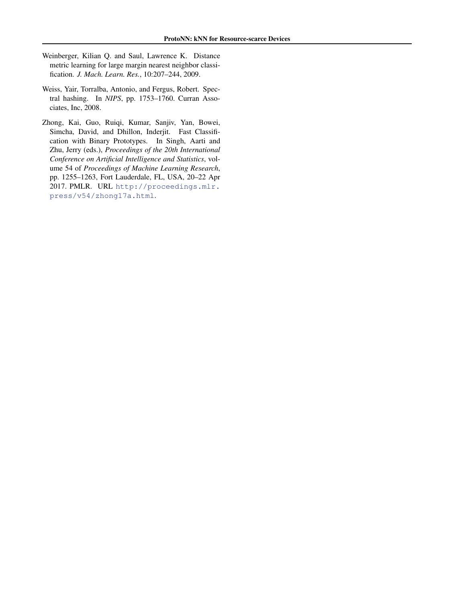- <span id="page-9-0"></span>Weinberger, Kilian Q. and Saul, Lawrence K. Distance metric learning for large margin nearest neighbor classification. *J. Mach. Learn. Res.*, 10:207–244, 2009.
- Weiss, Yair, Torralba, Antonio, and Fergus, Robert. Spectral hashing. In *NIPS*, pp. 1753–1760. Curran Associates, Inc, 2008.
- Zhong, Kai, Guo, Ruiqi, Kumar, Sanjiv, Yan, Bowei, Simcha, David, and Dhillon, Inderjit. Fast Classification with Binary Prototypes. In Singh, Aarti and Zhu, Jerry (eds.), *Proceedings of the 20th International Conference on Artificial Intelligence and Statistics*, volume 54 of *Proceedings of Machine Learning Research*, pp. 1255–1263, Fort Lauderdale, FL, USA, 20–22 Apr 2017. PMLR. URL [http://proceedings.mlr.](http://proceedings.mlr.press/v54/zhong17a.html) [press/v54/zhong17a.html](http://proceedings.mlr.press/v54/zhong17a.html).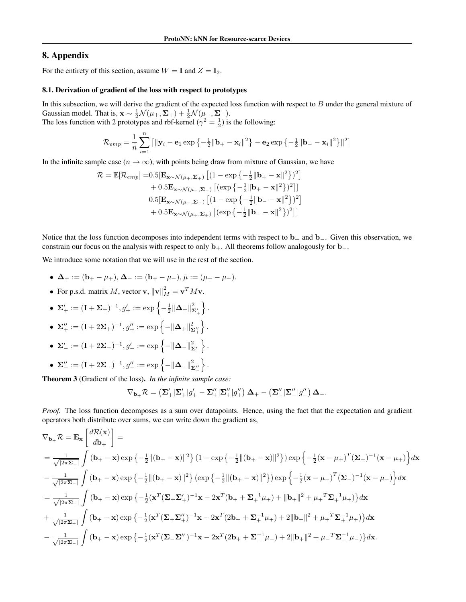# <span id="page-10-0"></span>8. Appendix

For the entirety of this section, assume  $W = I$  and  $Z = I_2$ .

#### 8.1. Derivation of gradient of the loss with respect to prototypes

In this subsection, we will derive the gradient of the expected loss function with respect to  $B$  under the general mixture of Gaussian model. That is,  $\mathbf{x} \sim \frac{1}{2} \mathcal{N}(\mu_+, \Sigma_+) + \frac{1}{2} \mathcal{N}(\mu_-, \Sigma_-).$ The loss function with 2 prototypes and rbf-kernel ( $\gamma^2 = \frac{1}{2}$ ) is the following:

> $\mathcal{R}_{emp} = \frac{1}{\pi}$ n  $\sum_{n=1}^{\infty}$  $i=1$  $\left[ \|\mathbf{y}_i - \mathbf{e}_1 \exp \left\{-\frac{1}{2} \|\mathbf{b}_+ - \mathbf{x}_i\|^2 \right\} - \mathbf{e}_2 \exp \left\{-\frac{1}{2} \|\mathbf{b}_- - \mathbf{x}_i\|^2 \right\} \|^2 \right]$

In the infinite sample case ( $n \to \infty$ ), with points being draw from mixture of Gaussian, we have

$$
\mathcal{R} = \mathbb{E}[\mathcal{R}_{emp}] = 0.5[\mathbf{E}_{\mathbf{x} \sim \mathcal{N}(\mu_{+}, \Sigma_{+})} [(1 - \exp\{-\frac{1}{2} \|\mathbf{b}_{+} - \mathbf{x}\|^{2}\})^{2}]
$$
  
+ 0.5 $\mathbf{E}_{\mathbf{x} \sim \mathcal{N}(\mu_{-}, \Sigma_{-})} [(\exp\{-\frac{1}{2} \|\mathbf{b}_{+} - \mathbf{x}\|^{2}\})^{2}]$   
0.5 $[\mathbf{E}_{\mathbf{x} \sim \mathcal{N}(\mu_{-}, \Sigma_{-})} [(1 - \exp\{-\frac{1}{2} \|\mathbf{b}_{-} - \mathbf{x}\|^{2}\})^{2}]$   
+ 0.5 $\mathbf{E}_{\mathbf{x} \sim \mathcal{N}(\mu_{+}, \Sigma_{+})} [(\exp\{-\frac{1}{2} \|\mathbf{b}_{-} - \mathbf{x}\|^{2}\})^{2}]$ 

Notice that the loss function decomposes into independent terms with respect to  $b_+$  and  $b_-$ . Given this observation, we constrain our focus on the analysis with respect to only  $b_{+}$ . All theorems follow analogously for  $b_{-}$ .

We introduce some notation that we will use in the rest of the section.

- $\Delta_+ := (b_+ \mu_+), \Delta_- := (b_+ \mu_-), \bar{\mu} := (\mu_+ \mu_-).$
- For p.s.d. matrix M, vector v,  $\|\mathbf{v}\|_M^2 = \mathbf{v}^T M \mathbf{v}$ .
- $\bullet\;\; {\bf \Sigma}'_{+}:=(\bf I+\Sigma_{+})^{-1}, g'_{+}:=\exp\left\{-\frac{1}{2}\|{\bf \Delta}_{+}\|^{2}_{{\bf \Sigma}'_{+}}\right\}$  $\}$ .
- $\Sigma_+'' := (\mathbf{I} + 2\Sigma_+)^{-1}, g_+'' := \exp\left\{-\|\mathbf{\Delta}_+\|_{\mathbf{\Sigma}_+''}^2\right\}$ o .
- Σ'\_ := (Ι + 2Σ\_)<sup>-1</sup>, g'\_ := exp  $\Big\{-\|\mathbf{\Delta}_{-}\|^{2}_{\mathbf{\Sigma}_{-}'}$  $\}$ .
- $\bullet \, \, {\bf \Sigma}_{-}'' := ({\bf I} + 2\Sigma_{-})^{-1}, g_{-}'' := \exp\left\{ \|{\bf \Delta}_{-}\|^{2}_{{\bf \Sigma}_{-}''}\right\}$ o .

Theorem 3 (Gradient of the loss). *In the infinite sample case:*

$$
\nabla_{\mathbf{b}_+} \mathcal{R} = \left( \mathbf{\Sigma}_+^{\prime} \, \mathbf{\Sigma}_+^{\prime} \, \mathbf{\mathcal{g}}_+^{\prime} - \mathbf{\Sigma}_+^{\prime \prime} \, \mathbf{\mathcal{g}}_+^{\prime \prime} \right) \mathbf{\Delta}_+ - \left( \mathbf{\Sigma}_-^{\prime \prime} \, \mathbf{\mathcal{g}}_-^{\prime \prime} \, \mathbf{\mathcal{g}}_-^{\prime \prime} \right) \mathbf{\Delta}_-.
$$

*Proof.* The loss function decomposes as a sum over datapoints. Hence, using the fact that the expectation and gradient operators both distribute over sums, we can write down the gradient as,

$$
\nabla_{\mathbf{b}_{+}}\mathcal{R} = \mathbf{E}_{\mathbf{x}}\left[\frac{d\mathcal{R}(\mathbf{x})}{db_{+}}\right] =
$$
\n
$$
= \frac{1}{\sqrt{|2\pi\Sigma_{+}|}}\int (\mathbf{b}_{+} - \mathbf{x})\exp\left\{-\frac{1}{2}\|( \mathbf{b}_{+} - \mathbf{x})\|^{2}\right\}(1 - \exp\left\{-\frac{1}{2}\|( \mathbf{b}_{+} - \mathbf{x})\|^{2}\right\})\exp\left\{-\frac{1}{2}(\mathbf{x} - \mu_{+})^{T}(\Sigma_{+})^{-1}(\mathbf{x} - \mu_{+})\right\}d\mathbf{x}
$$
\n
$$
- \frac{1}{\sqrt{|2\pi\Sigma_{-}|}}\int (\mathbf{b}_{+} - \mathbf{x})\exp\left\{-\frac{1}{2}\|( \mathbf{b}_{+} - \mathbf{x})\|^{2}\right\}(\exp\left\{-\frac{1}{2}\|( \mathbf{b}_{+} - \mathbf{x})\|^{2}\right\})\exp\left\{-\frac{1}{2}(\mathbf{x} - \mu_{-})^{T}(\Sigma_{-})^{-1}(\mathbf{x} - \mu_{-})\right\}d\mathbf{x}
$$
\n
$$
= \frac{1}{\sqrt{|2\pi\Sigma_{+}|}}\int (\mathbf{b}_{+} - \mathbf{x})\exp\left\{-\frac{1}{2}(\mathbf{x}^{T}(\Sigma_{+}\Sigma_{+}^{\prime})^{-1}\mathbf{x} - 2\mathbf{x}^{T}(\mathbf{b}_{+} + \Sigma_{+}^{-1}\mu_{+}) + ||\mathbf{b}_{+}||^{2} + \mu_{+}^{T}\Sigma_{+}^{-1}\mu_{+})\right\}d\mathbf{x}
$$
\n
$$
+ \frac{1}{\sqrt{|2\pi\Sigma_{+}|}}\int (\mathbf{b}_{+} - \mathbf{x})\exp\left\{-\frac{1}{2}(\mathbf{x}^{T}(\Sigma_{+}\Sigma_{+}^{\prime})^{-1}\mathbf{x} - 2\mathbf{x}^{T}(2\mathbf{b}_{+} + \Sigma_{+}^{-1}\mu_{+}) + 2||\mathbf{b}_{+}||^{2} + \mu_{+}^{T}\Sigma_{+}^{-1}\mu_{+})\right\}d\mathbf{x}
$$
\n
$$
- \frac{1}{\sqrt{|2\pi\Sigma_{-}|}}\int (\mathbf{b}_{
$$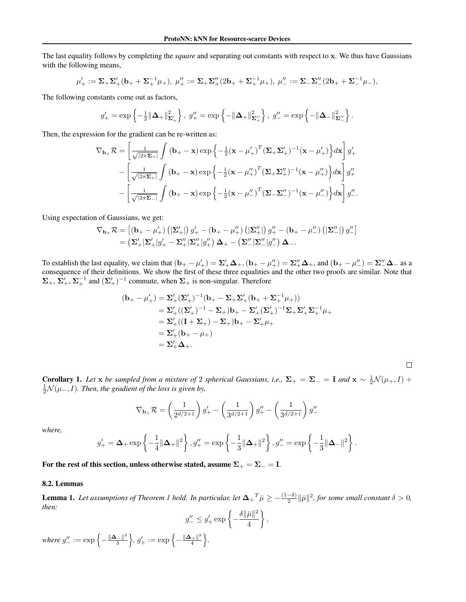<span id="page-11-0"></span>The last equality follows by completing the *square* and separating out constants with respect to x. We thus have Gaussians with the following means,

$$
\mu'_+ := \Sigma_+ \Sigma'_+ (\mathbf{b}_+ + \Sigma_+^{-1} \mu_+), \ \mu''_+ := \Sigma_+ \Sigma''_+ (2\mathbf{b}_+ + \Sigma_+^{-1} \mu_+), \ \mu''_- := \Sigma_- \Sigma''_- (2\mathbf{b}_+ + \Sigma_-^{-1} \mu_-),
$$

The following constants come out as factors,

$$
g'_{+} = \exp\left\{-\frac{1}{2}\|\mathbf{\Delta}_{+}\|_{\mathbf{\Sigma}_{+}^{\prime}}^{2}\right\}, \ g''_{+} = \exp\left\{-\|\mathbf{\Delta}_{+}\|_{\mathbf{\Sigma}_{+}^{\prime\prime}}^{2}\right\}, \ g''_{-} = \exp\left\{-\|\mathbf{\Delta}_{-}\|_{\mathbf{\Sigma}_{-}^{\prime\prime}}^{2}\right\}.
$$

Then, the expression for the gradient can be re-written as:

$$
\nabla_{\mathbf{b}_{+}}\mathcal{R} = \left[\frac{1}{\sqrt{|2\pi\mathbf{\Sigma}_{+}|}}\int (\mathbf{b}_{+}-\mathbf{x}) \exp\left\{-\frac{1}{2}(\mathbf{x}-\mu'_{+})^{T}(\mathbf{\Sigma}_{+}\mathbf{\Sigma}'_{+})^{-1}(\mathbf{x}-\mu'_{+})\right\} d\mathbf{x}\right]g'_{+}
$$

$$
-\left[\frac{1}{\sqrt{|2\pi\mathbf{\Sigma}_{+}|}}\int (\mathbf{b}_{+}-\mathbf{x}) \exp\left\{-\frac{1}{2}(\mathbf{x}-\mu''_{+})^{T}(\mathbf{\Sigma}_{+}\mathbf{\Sigma}''_{+})^{-1}(\mathbf{x}-\mu''_{+})\right\} d\mathbf{x}\right]g''_{+}
$$

$$
-\left[\frac{1}{\sqrt{|2\pi\mathbf{\Sigma}_{-}|}}\int (\mathbf{b}_{+}-\mathbf{x}) \exp\left\{-\frac{1}{2}(\mathbf{x}-\mu''_{-})^{T}(\mathbf{\Sigma}_{-}\mathbf{\Sigma}''_{-})^{-1}(\mathbf{x}-\mu''_{-})\right\} d\mathbf{x}\right]g''_{-}.
$$

Using expectation of Gaussians, we get:

$$
\nabla_{\mathbf{b}_+}\mathcal{R} = \left[ \left( \mathbf{b}_+ - \mu_+'\right) \left( |\mathbf{\Sigma}_+'| \right) g_+' - \left( \mathbf{b}_+ - \mu_+'' \right) \left( |\mathbf{\Sigma}_+''| \right) g_+' - \left( \mathbf{b}_+ - \mu_-'' \right) \left( |\mathbf{\Sigma}_-''| \right) g_-'' \right] \\ = \left( \mathbf{\Sigma}_+'| \mathbf{\Sigma}_+'| g_+' - \mathbf{\Sigma}_+''| \mathbf{\Sigma}_+''| g_+'') \, \Delta_+ - \left( \mathbf{\Sigma}_-''| \mathbf{\Sigma}_-''| g_-'' \right) \Delta_-. \right.
$$

To establish the last equality, we claim that  $(\mathbf{b}_{+} - \mu'_{+}) = \Sigma'_{+} \Delta_{+}$ ,  $(\mathbf{b}_{+} - \mu''_{+}) = \Sigma''_{+} \Delta_{+}$ , and  $(\mathbf{b}_{+} - \mu''_{-}) = \Sigma''_{-} \Delta_{-}$  as a consequence of their definitions. We show the first of these three equalities and the other two proofs are similar. Note that  $\Sigma_+$ ,  $\Sigma_+^{\prime}$ ,  $\Sigma_+^{-1}$  and  $(\Sigma_+^{\prime})^{-1}$  commute, when  $\Sigma_+$  is non-singular. Therefore

$$
\begin{aligned} (\mathbf{b}_+ - \mu_+') &= \Sigma_+' (\Sigma_+')^{-1} (\mathbf{b}_+ - \Sigma_+ \Sigma_+' (\mathbf{b}_+ + \Sigma_+^{-1} \mu_+)) \\ &= \Sigma_+' ((\Sigma_+')^{-1} - \Sigma_+) \mathbf{b}_+ - \Sigma_+' (\Sigma_+')^{-1} \Sigma_+ \Sigma_+' \Sigma_+^{-1} \mu_+ \\ &= \Sigma_+' ((\mathbf{I} + \Sigma_+) - \Sigma_+) \mathbf{b}_+ - \Sigma_+' \mu_+ \\ &= \Sigma_+' (\mathbf{b}_+ - \mu_+) \\ &= \Sigma_+' \Delta_+ . \end{aligned}
$$

**Corollary 1.** Let x be sampled from a mixture of 2 spherical Gaussians, i.e.,  $\Sigma_+ = \Sigma_- = I$  and  $x \sim \frac{1}{2} \mathcal{N}(\mu_+, I) +$  $\frac{1}{2}$ N( $\mu$ <sub>−</sub>, I). Then, the gradient of the loss is given by,

 $\Box$ 

$$
\nabla_{\mathbf{b}_+} \mathcal{R} = \left(\frac{1}{2^{d/2+1}}\right) g_+' - \left(\frac{1}{3^{d/2+1}}\right) g_+' - \left(\frac{1}{3^{d/2+1}}\right) g_-''
$$

*where,*

$$
g_+'=\mathbf{\Delta}_+\exp\left\{-\frac{1}{4}\|\mathbf{\Delta}_+\|^2\right\}, g_+''=\exp\left\{-\frac{1}{3}\|\mathbf{\Delta}_+\|^2\right\}, g_-''=\exp\left\{-\frac{1}{3}\|\mathbf{\Delta}_-\|^2\right\}.
$$

For the rest of this section, unless otherwise stated, assume  $\Sigma_+ = \Sigma_- = \text{I}$ .

#### 8.2. Lemmas

**Lemma [1](#page-4-0).** Let assumptions of Theorem 1 hold. In particular, let  $\Delta_{+}^T \bar{\mu} \ge -\frac{(1-\delta)}{2} \|\bar{\mu}\|^2$ , for some small constant  $\delta > 0$ , *then:*

$$
g''_{-} \leq g'_{+} \exp\left\{-\frac{\delta \|\bar{\mu}\|^2}{4}\right\},\,
$$

where  $g''_{-} := \exp \left\{-\frac{\|\mathbf{\Delta}-\|^2}{3} \right\}$  $\left\{g'_+,g'_+:=\exp\left\{-\frac{\|\mathbf{\Delta}_+\|^2}{4}\right\}$  $\frac{1}{4}$   $\left. \frac{1}{4}$   $\right.$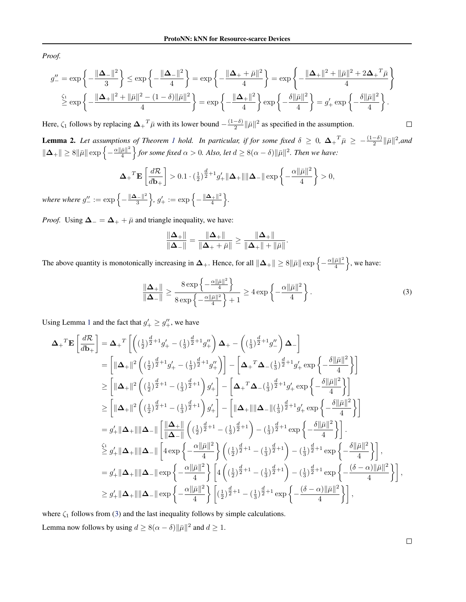<span id="page-12-0"></span>*Proof.*

$$
g_{-}'' = \exp\left\{-\frac{\|\mathbf{\Delta}_{-}\|^{2}}{3}\right\} \le \exp\left\{-\frac{\|\mathbf{\Delta}_{-}\|^{2}}{4}\right\} = \exp\left\{-\frac{\|\mathbf{\Delta}_{+} + \bar{\mu}\|^{2}}{4}\right\} = \exp\left\{-\frac{\|\mathbf{\Delta}_{+}\|^{2} + \|\bar{\mu}\|^{2} + 2\mathbf{\Delta}_{+}^{T}\bar{\mu}}{4}\right\}
$$

$$
\overset{\zeta_{1}}{\ge} \exp\left\{-\frac{\|\mathbf{\Delta}_{+}\|^{2} + \|\bar{\mu}\|^{2} - (1 - \delta)\|\bar{\mu}\|^{2}}{4}\right\} = \exp\left\{-\frac{\|\mathbf{\Delta}_{+}\|^{2}}{4}\right\} \exp\left\{-\frac{\delta\|\bar{\mu}\|^{2}}{4}\right\} = g_{+}' \exp\left\{-\frac{\delta\|\bar{\mu}\|^{2}}{4}\right\}.
$$

Here,  $\zeta_1$  follows by replacing  $\mathbf{\Delta}_{+}^T \bar{\mu}$  with its lower bound  $-\frac{(1-\delta)}{2}$  $\frac{(-\delta)}{2} \|\bar{\mu}\|^2$  as specified in the assumption.

**Lemma 2.** Let assumptions of Theorem [1](#page-4-0) hold. In particular, if for some fixed  $\delta \geq 0$ ,  $\Delta_{+}^{-T}\bar{\mu} \geq -\frac{(1-\delta)}{2} \|\bar{\mu}\|^2$ ,and  $\|\mathbf{\Delta}_+\|\geq 8\|\bar{\mu}\|\exp\left\{-\frac{\alpha\|\bar{\mu}\|^2}{4}\right\}$  $\frac{\bar{\mu}\|^2}{4}\Big\}$  for some fixed  $\alpha>0$ . Also, let  $d\geq 8(\alpha-\delta)\|\bar{\mu}\|^2$ . Then we have:

$$
\mathbf{\Delta}_{+}^T \mathbf{E} \left[ \frac{d\mathcal{R}}{d\mathbf{b}_+} \right] > 0.1 \cdot \left( \frac{1}{2} \right)^{\frac{d}{2}+1} g'_+ \|\mathbf{\Delta}_+\| \|\mathbf{\Delta}_-\| \exp\left\{-\frac{\alpha \|\bar{\mu}\|^2}{4} \right\} > 0,
$$

where where  $g''_- := \exp \left\{-\frac{\|\mathbf{\Delta}_-\|^2}{3} \right\}$  $\left\{g'_+,g'_+:=\exp\left\{-\frac{\|\mathbf{\Delta}_+\|^2}{4}\right\}$  $\frac{1}{4}$   $\left.\frac{\left|\right|^{2}}{4}\right\}$ .

*Proof.* Using  $\Delta_-=\Delta_++\bar{\mu}$  and triangle inequality, we have:

$$
\frac{\|\Delta_+\|}{\|\Delta_-\|} = \frac{\|\Delta_+\|}{\|\Delta_++\bar{\mu}\|} \ge \frac{\|\Delta_+\|}{\|\Delta_+\|+\|\bar{\mu}\|}.
$$

The above quantity is monotonically increasing in  $\Delta_+$ . Hence, for all  $\|\Delta_+\| \ge 8\|\bar{\mu}\| \exp\left\{-\frac{\alpha\|\bar{\mu}\|^2}{4}\right\}$  $\frac{\bar{\mu} \parallel^2}{4}$ , we have:

$$
\frac{\|\mathbf{\Delta}_{+}\|}{\|\mathbf{\Delta}_{-}\|} \ge \frac{8 \exp\left\{-\frac{\alpha \|\bar{\mu}\|^2}{4}\right\}}{8 \exp\left\{-\frac{\alpha \|\bar{\mu}\|^2}{4}\right\} + 1} \ge 4 \exp\left\{-\frac{\alpha \|\bar{\mu}\|^2}{4}\right\}.
$$
 (3)

Using Lemma [1](#page-11-0) and the fact that  $g'_{+} \geq g''_{+}$ , we have

$$
\Delta_{+}{}^{T}\mathbf{E}\left[\frac{d\mathcal{R}}{d\mathbf{b}_{+}}\right] = \Delta_{+}{}^{T}\left[\left((\frac{1}{2})^{\frac{d}{2}+1}g'_{+} - (\frac{1}{3})^{\frac{d}{2}+1}g''_{+}\right)\Delta_{+} - \left((\frac{1}{3})^{\frac{d}{2}+1}g''_{-}\right)\Delta_{-}\right] \n= \left[\|\Delta_{+}\|^{2}\left((\frac{1}{2})^{\frac{d}{2}+1}g'_{+} - (\frac{1}{3})^{\frac{d}{2}+1}g''_{+}\right)\right] - \left[\Delta_{+}{}^{T}\Delta_{-}(\frac{1}{3})^{\frac{d}{2}+1}g'_{+} \exp\left\{-\frac{\delta\|\bar{\mu}\|^{2}}{4}\right\}\right] \n\geq \left[\|\Delta_{+}\|^{2}\left((\frac{1}{2})^{\frac{d}{2}+1} - (\frac{1}{3})^{\frac{d}{2}+1}\right)g'_{+}\right] - \left[\Delta_{+}{}^{T}\Delta_{-}(\frac{1}{3})^{\frac{d}{2}+1}g'_{+} \exp\left\{-\frac{\delta\|\bar{\mu}\|^{2}}{4}\right\}\right] \n\geq \left[\|\Delta_{+}\|^{2}\left((\frac{1}{2})^{\frac{d}{2}+1} - (\frac{1}{3})^{\frac{d}{2}+1}\right)g'_{+}\right] - \left[\|\Delta_{+}\|\|\Delta_{-}\|(\frac{1}{3})^{\frac{d}{2}+1}g'_{+} \exp\left\{-\frac{\delta\|\bar{\mu}\|^{2}}{4}\right\}\right] \n= g'_{+}\|\Delta_{+}\|\|\Delta_{-}\| \left[\frac{\|\Delta_{+}\|}{\|\Delta_{-}\|}\left((\frac{1}{2})^{\frac{d}{2}+1} - (\frac{1}{3})^{\frac{d}{2}+1}\right) - (\frac{1}{3})^{\frac{d}{2}+1} \exp\left\{-\frac{\delta\|\bar{\mu}\|^{2}}{4}\right\}\right].
$$
  
\n
$$
\leq g'_{+}\|\Delta_{+}\|\|\Delta_{-}\| \exp\left\{-\frac{\alpha\|\bar{\mu}\|^{2}}{4}\right\} \left(4\left((\frac{1}{2})^{\frac{d}{2}+1} - (\frac
$$

where  $\zeta_1$  follows from (3) and the last inequality follows by simple calculations. Lemma now follows by using  $d \ge 8(\alpha - \delta) ||\bar{\mu}||^2$  and  $d \ge 1$ .

 $\Box$ 

 $\Box$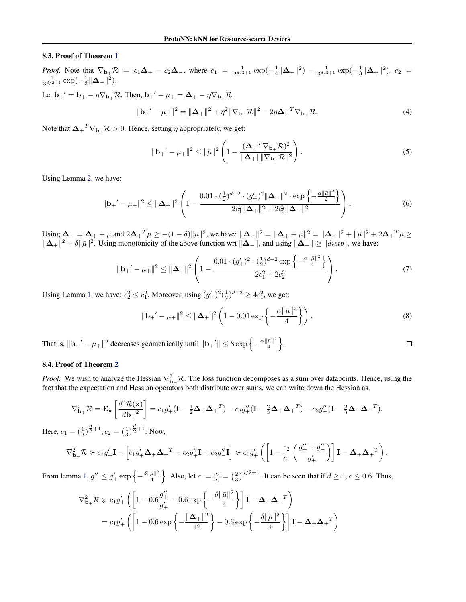#### 8.3. Proof of Theorem [1](#page-4-0)

*Proof.* Note that  $\nabla_{\mathbf{b}_+} \mathcal{R} = c_1 \Delta_+ - c_2 \Delta_-$ , where  $c_1 = \frac{1}{2^{d/2+1}} \exp(-\frac{1}{4} ||\Delta_+||^2) - \frac{1}{3^{d/2+1}} \exp(-\frac{1}{3} ||\Delta_+||^2)$ ,  $c_2 = \frac{1}{3^{d/2+1}} \exp(-\frac{1}{3} ||\Delta_-||^2)$ .

Let  $\mathbf{b_+}' = \mathbf{b_+} - \eta \nabla_{\mathbf{b_+}} \mathcal{R}$ . Then,  $\mathbf{b_+}' - \mu_+ = \mathbf{\Delta}_+ - \eta \nabla_{\mathbf{b_+}} \mathcal{R}$ .

$$
\|\mathbf{b}_{+}' - \mu_{+}\|^2 = \|\mathbf{\Delta}_{+}\|^2 + \eta^2 \|\nabla_{\mathbf{b}_{+}} \mathcal{R}\|^2 - 2\eta \mathbf{\Delta}_{+}^T \nabla_{\mathbf{b}_{+}} \mathcal{R}.
$$
\n(4)

Note that  $\mathbf{\Delta_+}^T \nabla_{\mathbf{b}_+} \mathcal{R} > 0$ . Hence, setting  $\eta$  appropriately, we get:

$$
\|\mathbf{b}_{+}' - \mu_{+}\|^2 \le \|\bar{\mu}\|^2 \left(1 - \frac{(\mathbf{\Delta}_{+}^T \nabla_{\mathbf{b}_{+}} \mathcal{R})^2}{\|\mathbf{\Delta}_{+}\| \|\nabla_{\mathbf{b}_{+}} \mathcal{R}\|^2}\right).
$$
 (5)

Using Lemma [2,](#page-12-0) we have:

$$
\|\mathbf{b}_{+}' - \mu_{+}\|^2 \le \|\mathbf{\Delta}_{+}\|^2 \left(1 - \frac{0.01 \cdot (\frac{1}{2})^{d+2} \cdot (g'_{+})^2 \|\mathbf{\Delta}_{-}\|^2 \cdot \exp\left\{-\frac{\alpha \|\bar{\mu}\|^2}{2}\right\}}{2c_1^2 \|\mathbf{\Delta}_{+}\|^2 + 2c_2^2 \|\mathbf{\Delta}_{-}\|^2}\right). \tag{6}
$$

Using  $\Delta_{-} = \Delta_{+} + \bar{\mu}$  and  $2\Delta_{+}^{\ \ T} \bar{\mu} \ge -(1 - \delta) \|\bar{\mu}\|^2$ , we have:  $\|\Delta_{-}\|^2 = \|\Delta_{+} + \bar{\mu}\|^2 = \|\Delta_{+}\|^2 + \|\bar{\mu}\|^2 + 2\Delta_{+}^{\ \ T} \bar{\mu} \ge$  $\|\Delta_+\|^2 + \delta \|\bar{\mu}\|^2$ . Using monotonicity of the above function wrt  $\|\Delta_-\|$ , and using  $\|\Delta_-\| \geq \|dist_p\|$ , we have:

$$
\|\mathbf{b}_{+}' - \mu_{+}\|^2 \le \|\mathbf{\Delta}_{+}\|^2 \left(1 - \frac{0.01 \cdot (g_+')^2 \cdot (\frac{1}{2})^{d+2} \exp\left\{-\frac{\alpha \|\bar{\mu}\|^2}{4}\right\}}{2c_1^2 + 2c_2^2}\right). \tag{7}
$$

Using Lemma [1,](#page-11-0) we have:  $c_2^2 \le c_1^2$ . Moreover, using  $(g'_+)^2(\frac{1}{2})^{d+2} \ge 4c_1^2$ , we get:

$$
\|\mathbf{b}_{+}' - \mu_{+}\|^2 \le \|\mathbf{\Delta}_{+}\|^2 \left(1 - 0.01 \exp\left\{-\frac{\alpha \|\bar{\mu}\|^2}{4}\right\}\right). \tag{8}
$$

That is,  $\|\mathbf{b}_+'-\mu_+\|^2$  decreases geometrically until  $\|\mathbf{b}_+'\| \leq 8 \exp\left\{-\frac{\alpha\|\bar{\mu}\|^2}{4}\right\}$  $\frac{\bar{\mu}\|^2}{4}\bigg\}.$  $\Box$ 

#### 8.4. Proof of Theorem [2](#page-4-0)

*Proof.* We wish to analyze the Hessian  $\nabla_{\mathbf{b}_+}^2 \mathcal{R}$ . The loss function decomposes as a sum over datapoints. Hence, using the fact that the expectation and Hessian operators both distribute over sums, we can write down the Hessian as,

$$
\nabla_{\mathbf{b}_+}^2 \mathcal{R} = \mathbf{E}_{\mathbf{x}} \left[ \frac{d^2 \mathcal{R}(\mathbf{x})}{d \mathbf{b}_+^2} \right] = c_1 g'_+ (\mathbf{I} - \frac{1}{2} \boldsymbol{\Delta}_+ \boldsymbol{\Delta}_+^T) - c_2 g''_+ (\mathbf{I} - \frac{2}{3} \boldsymbol{\Delta}_+ \boldsymbol{\Delta}_+^T) - c_2 g''_- (\mathbf{I} - \frac{2}{3} \boldsymbol{\Delta}_- \boldsymbol{\Delta}_-^T).
$$

Here,  $c_1 = \left(\frac{1}{2}\right)^{\frac{d}{2}+1}$ ,  $c_2 = \left(\frac{1}{3}\right)^{\frac{d}{2}+1}$ . Now,

$$
\nabla_{\mathbf{b}_+}^2 \mathcal{R} \succcurlyeq c_1 g'_+ \mathbf{I} - \left[c_1 g'_+ \mathbf{\Delta}_+ \mathbf{\Delta}_+^T + c_2 g''_+ \mathbf{I} + c_2 g''_- \mathbf{I}\right] \succcurlyeq c_1 g'_+ \left(\left[1 - \frac{c_2}{c_1} \left(\frac{g''_+ + g''_-}{g'_+}\right)\right] \mathbf{I} - \mathbf{\Delta}_+ \mathbf{\Delta}_+^T\right).
$$

From lemma [1,](#page-11-0)  $g''_{-} \leq g'_{+} \exp \left\{-\frac{\delta \|\bar{\mu}\|^2}{4}\right\}$  $\frac{\bar{\mu} \parallel^2}{4}$ . Also, let  $c := \frac{c_2}{c_1} = \left(\frac{2}{3}\right)^{d/2+1}$ . It can be seen that if  $d \ge 1$ ,  $c \le 0.6$ . Thus,

$$
\nabla_{\mathbf{b}_+}^2 \mathcal{R} \geqslant c_1 g_+' \left( \left[ 1 - 0.6 \frac{g_+''}{g_+'} - 0.6 \exp\left\{ -\frac{\delta ||\bar{\mu}||^2}{4} \right\} \right] \mathbf{I} - \mathbf{\Delta}_+ \mathbf{\Delta}_+^T \right)
$$
  
=  $c_1 g_+' \left( \left[ 1 - 0.6 \exp\left\{ -\frac{\|\mathbf{\Delta}_+\|^2}{12} \right\} - 0.6 \exp\left\{ -\frac{\delta ||\bar{\mu}||^2}{4} \right\} \right] \mathbf{I} - \mathbf{\Delta}_+ \mathbf{\Delta}_+^T \right)$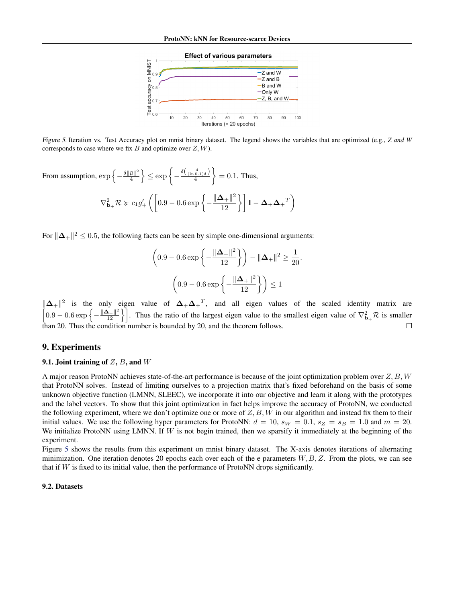

<span id="page-14-0"></span>Figure 5. Iteration vs. Test Accuracy plot on mnist binary dataset. The legend shows the variables that are optimized (e.g., *Z and W* corresponds to case where we fix B and optimize over  $Z, W$ ).

From assumption, 
$$
\exp\left\{-\frac{\delta \|\bar{\mu}\|^2}{4}\right\} \le \exp\left\{-\frac{\frac{\delta\left(\frac{4}{(\ln 0.1)\delta}\right)}{4}}{4}\right\} = 0.1
$$
. Thus,  

$$
\nabla_{\mathbf{b}_+}^2 \mathcal{R} \succcurlyeq c_1 g_+' \left(\left[0.9 - 0.6 \exp\left\{-\frac{\|\mathbf{\Delta}_+\|^2}{12}\right\}\right] \mathbf{I} - \mathbf{\Delta}_+ \mathbf{\Delta}_+^T\right)
$$

For  $\|\mathbf{\Delta}_+\|^2 \leq 0.5$ , the following facts can be seen by simple one-dimensional arguments:

$$
\left(0.9 - 0.6 \exp\left\{-\frac{\|\mathbf{\Delta}_+\|^2}{12}\right\}\right) - \|\mathbf{\Delta}_+\|^2 \ge \frac{1}{20}.
$$

$$
\left(0.9 - 0.6 \exp\left\{-\frac{\|\mathbf{\Delta}_+\|^2}{12}\right\}\right) \le 1
$$

 $\|\Delta_+\|^2$  is the only eigen value of  $\Delta_+\Delta_+^T$ , and all eigen values of the scaled identity matrix are  $\left[0.9 - 0.6 \exp\left\{-\frac{\|\mathbf{\Delta}_+\|^2}{12}\right\}\right]$ . Thus the ratio of the largest eigen value to the smallest eigen value of  $\nabla_{\mathbf{b}_+}^2 \mathcal{R}$  is smaller than 20. Thus the condition number is bounded by 20, and the theorem follows.  $\Box$ 

# 9. Experiments

#### 9.1. Joint training of  $Z$ ,  $B$ , and  $W$

A major reason ProtoNN achieves state-of-the-art performance is because of the joint optimization problem over  $Z, B, W$ that ProtoNN solves. Instead of limiting ourselves to a projection matrix that's fixed beforehand on the basis of some unknown objective function (LMNN, SLEEC), we incorporate it into our objective and learn it along with the prototypes and the label vectors. To show that this joint optimization in fact helps improve the accuracy of ProtoNN, we conducted the following experiment, where we don't optimize one or more of  $Z$ ,  $B$ ,  $W$  in our algorithm and instead fix them to their initial values. We use the following hyper parameters for ProtoNN:  $d = 10$ ,  $s_W = 0.1$ ,  $s_Z = s_B = 1.0$  and  $m = 20$ . We initialize ProtoNN using LMNN. If  $W$  is not begin trained, then we sparsify it immediately at the beginning of the experiment.

Figure 5 shows the results from this experiment on mnist binary dataset. The X-axis denotes iterations of alternating minimization. One iteration denotes 20 epochs each over each of the e parameters  $W, B, Z$ . From the plots, we can see that if  $W$  is fixed to its initial value, then the performance of ProtoNN drops significantly.

#### 9.2. Datasets